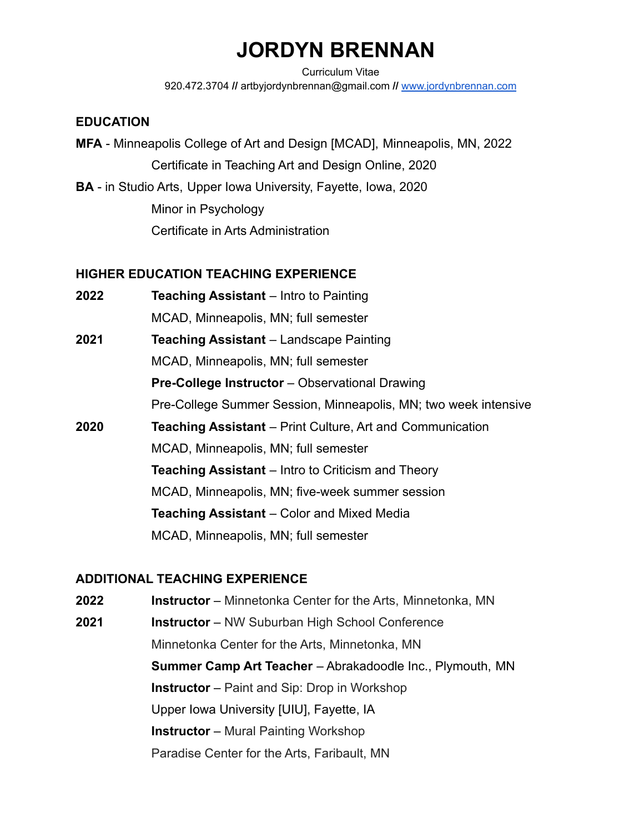# **JORDYN BRENNAN**

Curriculum Vitae 920.472.3704 **//** artbyjordynbrennan@gmail.com **//** [www.jordynbrennan.com](http://www.jordynbrennan.com)

#### **EDUCATION**

- **MFA** Minneapolis College of Art and Design [MCAD], Minneapolis, MN, 2022 Certificate in Teaching Art and Design Online, 2020
- **BA** in Studio Arts, Upper Iowa University, Fayette, Iowa, 2020 Minor in Psychology Certificate in Arts Administration

## **HIGHER EDUCATION TEACHING EXPERIENCE**

- **2022 Teaching Assistant** Intro to Painting MCAD, Minneapolis, MN; full semester **2021 Teaching Assistant** – Landscape Painting MCAD, Minneapolis, MN; full semester **Pre-College Instructor** – Observational Drawing Pre-College Summer Session, Minneapolis, MN; two week intensive **2020 Teaching Assistant** – Print Culture, Art and Communication MCAD, Minneapolis, MN; full semester **Teaching Assistant** – Intro to Criticism and Theory MCAD, Minneapolis, MN; five-week summer session
	- **Teaching Assistant** Color and Mixed Media

MCAD, Minneapolis, MN; full semester

## **ADDITIONAL TEACHING EXPERIENCE**

- **2022 Instructor** Minnetonka Center for the Arts, Minnetonka, MN
- **2021 Instructor** NW Suburban High School Conference Minnetonka Center for the Arts, Minnetonka, MN **Summer Camp Art Teacher** – Abrakadoodle Inc., Plymouth, MN **Instructor** – Paint and Sip: Drop in Workshop Upper Iowa University [UIU], Fayette, IA **Instructor** – Mural Painting Workshop Paradise Center for the Arts, Faribault, MN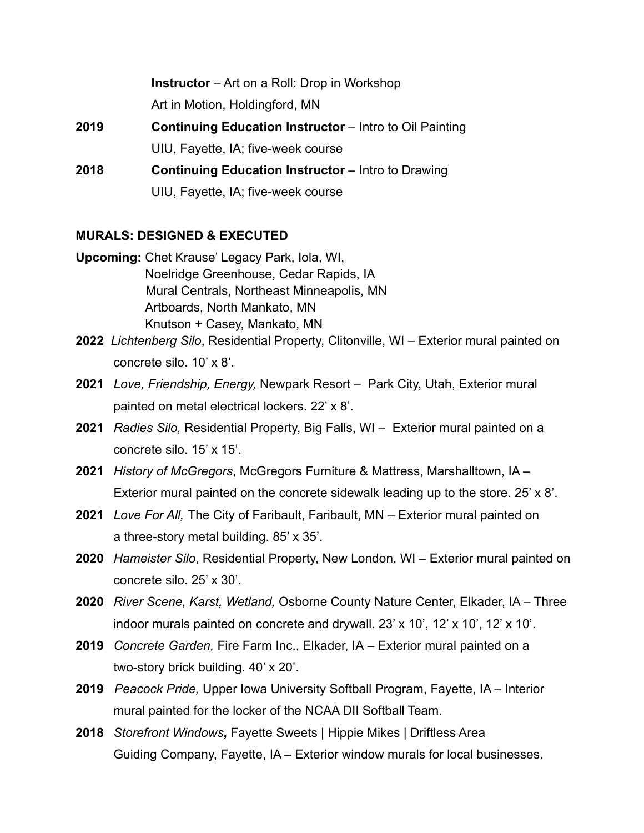**Instructor** – Art on a Roll: Drop in Workshop

Art in Motion, Holdingford, MN

**2019 Continuing Education Instructor** – Intro to Oil Painting UIU, Fayette, IA; five-week course

**2018 Continuing Education Instructor** – Intro to Drawing UIU, Fayette, IA; five-week course

## **MURALS: DESIGNED & EXECUTED**

- **Upcoming:** Chet Krause' Legacy Park, Iola, WI, Noelridge Greenhouse, Cedar Rapids, IA Mural Centrals, Northeast Minneapolis, MN Artboards, North Mankato, MN Knutson + Casey, Mankato, MN
- **2022** *Lichtenberg Silo*, Residential Property, Clitonville, WI Exterior mural painted on concrete silo. 10' x 8'.
- **2021** *Love, Friendship, Energy,* Newpark Resort Park City, Utah, Exterior mural painted on metal electrical lockers. 22' x 8'.
- **2021** *Radies Silo,* Residential Property, Big Falls, WI Exterior mural painted on a concrete silo. 15' x 15'.
- **2021** *History of McGregors*, McGregors Furniture & Mattress, Marshalltown, IA Exterior mural painted on the concrete sidewalk leading up to the store.  $25' \times 8'$ .
- **2021** *Love For All,* The City of Faribault, Faribault, MN Exterior mural painted on a three-story metal building. 85' x 35'.
- **2020** *Hameister Silo*, Residential Property, New London, WI Exterior mural painted on concrete silo. 25' x 30'.
- **2020** *River Scene, Karst, Wetland,* Osborne County Nature Center, Elkader, IA Three indoor murals painted on concrete and drywall. 23' x 10', 12' x 10', 12' x 10'.
- **2019** *Concrete Garden,* Fire Farm Inc., Elkader, IA Exterior mural painted on a two-story brick building. 40' x 20'.
- **2019** *Peacock Pride,* Upper Iowa University Softball Program, Fayette, IA Interior mural painted for the locker of the NCAA DII Softball Team.
- **2018** *Storefront Windows***,** Fayette Sweets | Hippie Mikes | Driftless Area Guiding Company, Fayette, IA – Exterior window murals for local businesses.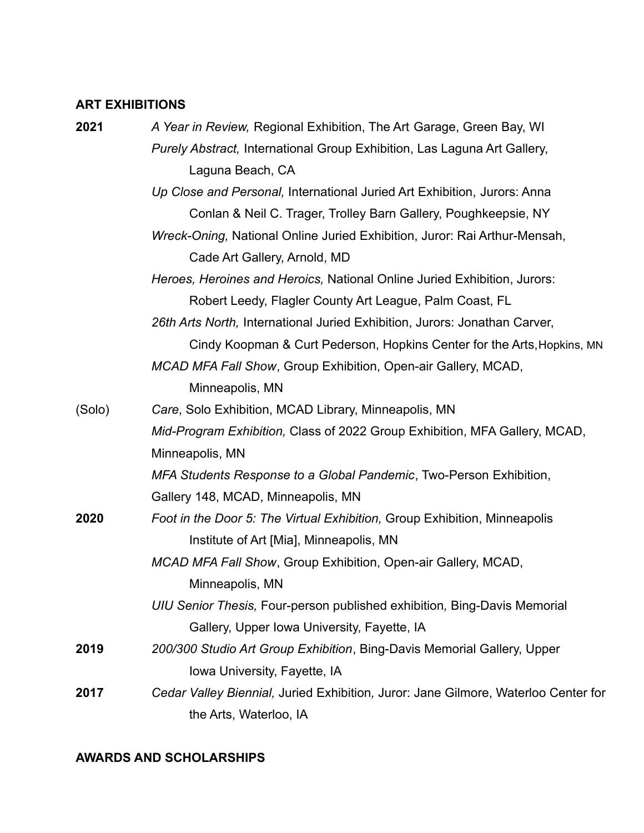## **ART EXHIBITIONS**

| 2021   | A Year in Review, Regional Exhibition, The Art Garage, Green Bay, WI               |
|--------|------------------------------------------------------------------------------------|
|        | Purely Abstract, International Group Exhibition, Las Laguna Art Gallery,           |
|        | Laguna Beach, CA                                                                   |
|        | Up Close and Personal, International Juried Art Exhibition, Jurors: Anna           |
|        | Conlan & Neil C. Trager, Trolley Barn Gallery, Poughkeepsie, NY                    |
|        | Wreck-Oning, National Online Juried Exhibition, Juror: Rai Arthur-Mensah,          |
|        | Cade Art Gallery, Arnold, MD                                                       |
|        | Heroes, Heroines and Heroics, National Online Juried Exhibition, Jurors:           |
|        | Robert Leedy, Flagler County Art League, Palm Coast, FL                            |
|        | 26th Arts North, International Juried Exhibition, Jurors: Jonathan Carver,         |
|        | Cindy Koopman & Curt Pederson, Hopkins Center for the Arts, Hopkins, MN            |
|        | MCAD MFA Fall Show, Group Exhibition, Open-air Gallery, MCAD,                      |
|        | Minneapolis, MN                                                                    |
| (Solo) | Care, Solo Exhibition, MCAD Library, Minneapolis, MN                               |
|        | Mid-Program Exhibition, Class of 2022 Group Exhibition, MFA Gallery, MCAD,         |
|        | Minneapolis, MN                                                                    |
|        | MFA Students Response to a Global Pandemic, Two-Person Exhibition,                 |
|        | Gallery 148, MCAD, Minneapolis, MN                                                 |
| 2020   | Foot in the Door 5: The Virtual Exhibition, Group Exhibition, Minneapolis          |
|        | Institute of Art [Mia], Minneapolis, MN                                            |
|        | MCAD MFA Fall Show, Group Exhibition, Open-air Gallery, MCAD,                      |
|        | Minneapolis, MN                                                                    |
|        | UIU Senior Thesis, Four-person published exhibition, Bing-Davis Memorial           |
|        | Gallery, Upper Iowa University, Fayette, IA                                        |
| 2019   | 200/300 Studio Art Group Exhibition, Bing-Davis Memorial Gallery, Upper            |
|        | Iowa University, Fayette, IA                                                       |
| 2017   | Cedar Valley Biennial, Juried Exhibition, Juror: Jane Gilmore, Waterloo Center for |
|        | the Arts, Waterloo, IA                                                             |

## **AWARDS AND SCHOLARSHIPS**